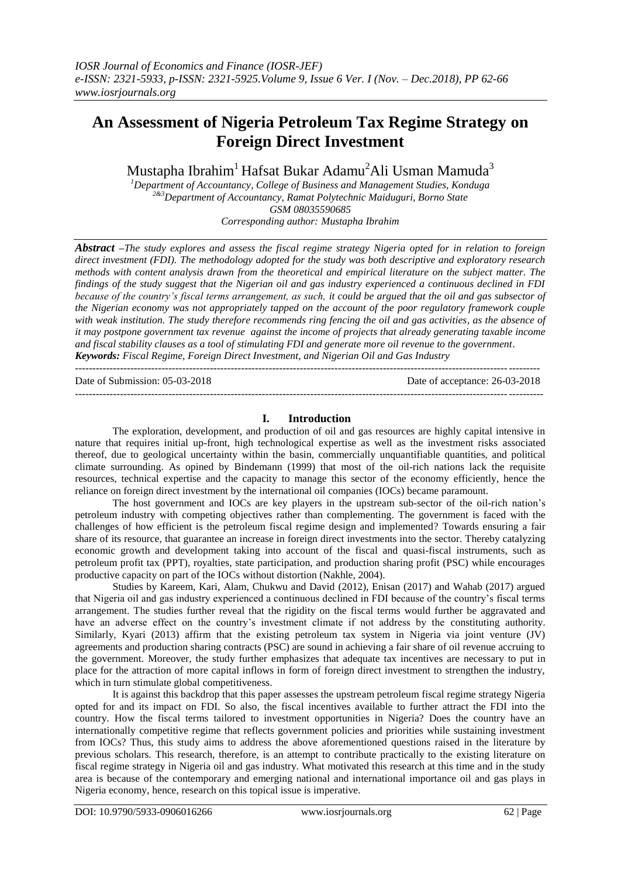# **An Assessment of Nigeria Petroleum Tax Regime Strategy on Foreign Direct Investment**

Mustapha Ibrahim<sup>1</sup> Hafsat Bukar Adamu<sup>2</sup>Ali Usman Mamuda<sup>3</sup>

*<sup>1</sup>Department of Accountancy, College of Business and Management Studies, Konduga 2&3Department of Accountancy, Ramat Polytechnic Maiduguri, Borno State GSM 08035590685 Corresponding author: Mustapha Ibrahim*

*Abstract –The study explores and assess the fiscal regime strategy Nigeria opted for in relation to foreign direct investment (FDI). The methodology adopted for the study was both descriptive and exploratory research methods with content analysis drawn from the theoretical and empirical literature on the subject matter. The findings of the study suggest that the Nigerian oil and gas industry experienced a continuous declined in FDI because of the country's fiscal terms arrangement, as such, it could be argued that the oil and gas subsector of the Nigerian economy was not appropriately tapped on the account of the poor regulatory framework couple with weak institution. The study therefore recommends ring fencing the oil and gas activities, as the absence of it may postpone government tax revenue against the income of projects that already generating taxable income and fiscal stability clauses as a tool of stimulating FDI and generate more oil revenue to the government. Keywords: Fiscal Regime, Foreign Direct Investment, and Nigerian Oil and Gas Industry* --------------------------------------------------------------------------------------------------------------------------------------

Date of Submission: 05-03-2018 Date of acceptance: 26-03-2018

#### **I. Introduction**

---------------------------------------------------------------------------------------------------------------------------------------

The exploration, development, and production of oil and gas resources are highly capital intensive in nature that requires initial up-front, high technological expertise as well as the investment risks associated thereof, due to geological uncertainty within the basin, commercially unquantifiable quantities, and political climate surrounding. As opined by Bindemann (1999) that most of the oil-rich nations lack the requisite resources, technical expertise and the capacity to manage this sector of the economy efficiently, hence the reliance on foreign direct investment by the international oil companies (IOCs) became paramount.

The host government and IOCs are key players in the upstream sub-sector of the oil-rich nation's petroleum industry with competing objectives rather than complementing. The government is faced with the challenges of how efficient is the petroleum fiscal regime design and implemented? Towards ensuring a fair share of its resource, that guarantee an increase in foreign direct investments into the sector. Thereby catalyzing economic growth and development taking into account of the fiscal and quasi-fiscal instruments, such as petroleum profit tax (PPT), royalties, state participation, and production sharing profit (PSC) while encourages productive capacity on part of the IOCs without distortion (Nakhle, 2004).

Studies by Kareem, Kari, Alam, Chukwu and David (2012), Enisan (2017) and Wahab (2017) argued that Nigeria oil and gas industry experienced a continuous declined in FDI because of the country's fiscal terms arrangement. The studies further reveal that the rigidity on the fiscal terms would further be aggravated and have an adverse effect on the country's investment climate if not address by the constituting authority. Similarly, Kyari (2013) affirm that the existing petroleum tax system in Nigeria via joint venture (JV) agreements and production sharing contracts (PSC) are sound in achieving a fair share of oil revenue accruing to the government. Moreover, the study further emphasizes that adequate tax incentives are necessary to put in place for the attraction of more capital inflows in form of foreign direct investment to strengthen the industry, which in turn stimulate global competitiveness.

It is against this backdrop that this paper assesses the upstream petroleum fiscal regime strategy Nigeria opted for and its impact on FDI. So also, the fiscal incentives available to further attract the FDI into the country. How the fiscal terms tailored to investment opportunities in Nigeria? Does the country have an internationally competitive regime that reflects government policies and priorities while sustaining investment from IOCs? Thus, this study aims to address the above aforementioned questions raised in the literature by previous scholars. This research, therefore, is an attempt to contribute practically to the existing literature on fiscal regime strategy in Nigeria oil and gas industry. What motivated this research at this time and in the study area is because of the contemporary and emerging national and international importance oil and gas plays in Nigeria economy, hence, research on this topical issue is imperative.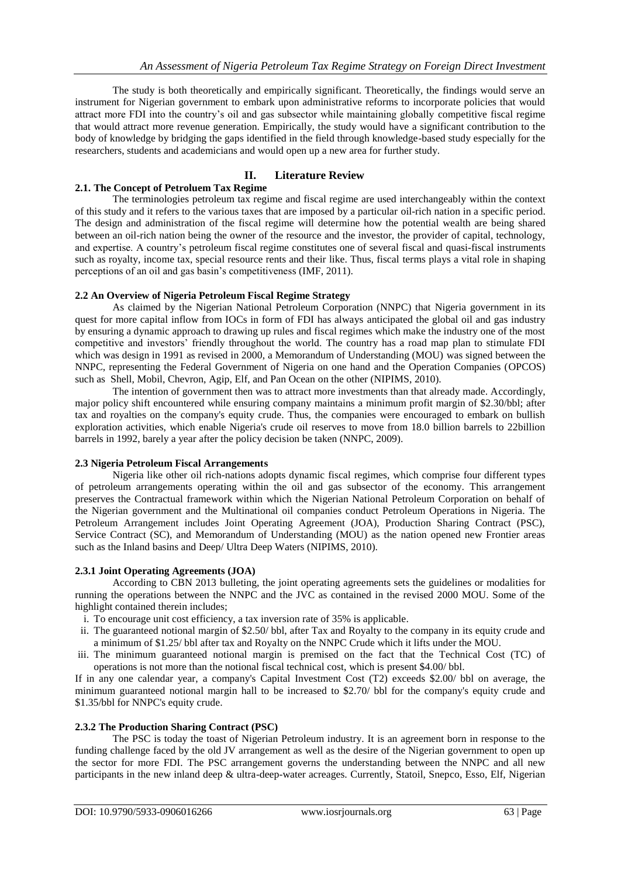The study is both theoretically and empirically significant. Theoretically, the findings would serve an instrument for Nigerian government to embark upon administrative reforms to incorporate policies that would attract more FDI into the country's oil and gas subsector while maintaining globally competitive fiscal regime that would attract more revenue generation. Empirically, the study would have a significant contribution to the body of knowledge by bridging the gaps identified in the field through knowledge-based study especially for the researchers, students and academicians and would open up a new area for further study.

# **II. Literature Review**

## **2.1. The Concept of Petroluem Tax Regime**

The terminologies petroleum tax regime and fiscal regime are used interchangeably within the context of this study and it refers to the various taxes that are imposed by a particular oil-rich nation in a specific period. The design and administration of the fiscal regime will determine how the potential wealth are being shared between an oil-rich nation being the owner of the resource and the investor, the provider of capital, technology, and expertise. A country's petroleum fiscal regime constitutes one of several fiscal and quasi-fiscal instruments such as royalty, income tax, special resource rents and their like. Thus, fiscal terms plays a vital role in shaping perceptions of an oil and gas basin's competitiveness (IMF, 2011).

## **2.2 An Overview of Nigeria Petroleum Fiscal Regime Strategy**

As claimed by the Nigerian National Petroleum Corporation (NNPC) that Nigeria government in its quest for more capital inflow from IOCs in form of FDI has always anticipated the global oil and gas industry by ensuring a dynamic approach to drawing up rules and fiscal regimes which make the industry one of the most competitive and investors' friendly throughout the world. The country has a road map plan to stimulate FDI which was design in 1991 as revised in 2000, a Memorandum of Understanding (MOU) was signed between the NNPC, representing the Federal Government of Nigeria on one hand and the Operation Companies (OPCOS) such as Shell, Mobil, Chevron, Agip, Elf, and Pan Ocean on the other (NIPIMS, 2010).

The intention of government then was to attract more investments than that already made. Accordingly, major policy shift encountered while ensuring company maintains a minimum profit margin of \$2.30/bbl; after tax and royalties on the company's equity crude. Thus, the companies were encouraged to embark on bullish exploration activities, which enable Nigeria's crude oil reserves to move from 18.0 billion barrels to 22billion barrels in 1992, barely a year after the policy decision be taken (NNPC, 2009).

## **2.3 Nigeria Petroleum Fiscal Arrangements**

Nigeria like other oil rich-nations adopts dynamic fiscal regimes, which comprise four different types of petroleum arrangements operating within the oil and gas subsector of the economy. This arrangement preserves the Contractual framework within which the Nigerian National Petroleum Corporation on behalf of the Nigerian government and the Multinational oil companies conduct Petroleum Operations in Nigeria. The Petroleum Arrangement includes Joint Operating Agreement (JOA), Production Sharing Contract (PSC), Service Contract (SC), and Memorandum of Understanding (MOU) as the nation opened new Frontier areas such as the Inland basins and Deep/ Ultra Deep Waters (NIPIMS, 2010).

## **2.3.1 Joint Operating Agreements (JOA)**

According to CBN 2013 bulleting, the joint operating agreements sets the guidelines or modalities for running the operations between the NNPC and the JVC as contained in the revised 2000 MOU. Some of the highlight contained therein includes;

- i. To encourage unit cost efficiency, a tax inversion rate of 35% is applicable.
- ii. The guaranteed notional margin of \$2.50/ bbl, after Tax and Royalty to the company in its equity crude and a minimum of \$1.25/ bbl after tax and Royalty on the NNPC Crude which it lifts under the MOU.
- iii. The minimum guaranteed notional margin is premised on the fact that the Technical Cost (TC) of operations is not more than the notional fiscal technical cost, which is present \$4.00/ bbl.

If in any one calendar year, a company's Capital Investment Cost (T2) exceeds \$2.00/ bbl on average, the minimum guaranteed notional margin hall to be increased to \$2.70/ bbl for the company's equity crude and \$1.35/bbl for NNPC's equity crude.

## **2.3.2 The Production Sharing Contract (PSC)**

The PSC is today the toast of Nigerian Petroleum industry. It is an agreement born in response to the funding challenge faced by the old JV arrangement as well as the desire of the Nigerian government to open up the sector for more FDI. The PSC arrangement governs the understanding between the NNPC and all new participants in the new inland deep & ultra-deep-water acreages. Currently, Statoil, Snepco, Esso, Elf, Nigerian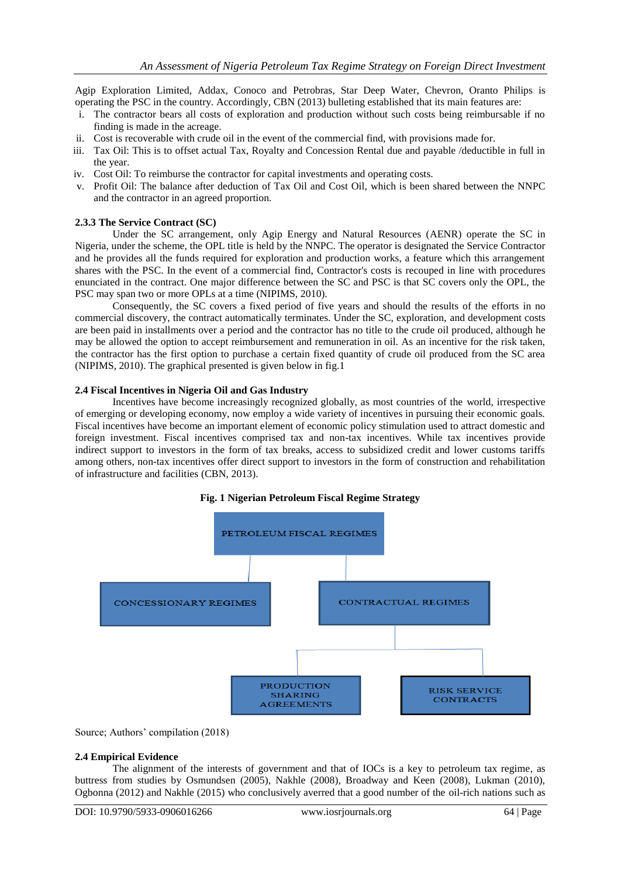Agip Exploration Limited, Addax, Conoco and Petrobras, Star Deep Water, Chevron, Oranto Philips is operating the PSC in the country. Accordingly, CBN (2013) bulleting established that its main features are:

- i. The contractor bears all costs of exploration and production without such costs being reimbursable if no finding is made in the acreage.
- ii. Cost is recoverable with crude oil in the event of the commercial find, with provisions made for.
- iii. Tax Oil: This is to offset actual Tax, Royalty and Concession Rental due and payable /deductible in full in the year.
- iv. Cost Oil: To reimburse the contractor for capital investments and operating costs.
- v. Profit Oil: The balance after deduction of Tax Oil and Cost Oil, which is been shared between the NNPC and the contractor in an agreed proportion.

#### **2.3.3 The Service Contract (SC)**

Under the SC arrangement, only Agip Energy and Natural Resources (AENR) operate the SC in Nigeria, under the scheme, the OPL title is held by the NNPC. The operator is designated the Service Contractor and he provides all the funds required for exploration and production works, a feature which this arrangement shares with the PSC. In the event of a commercial find, Contractor's costs is recouped in line with procedures enunciated in the contract. One major difference between the SC and PSC is that SC covers only the OPL, the PSC may span two or more OPLs at a time (NIPIMS, 2010).

Consequently, the SC covers a fixed period of five years and should the results of the efforts in no commercial discovery, the contract automatically terminates. Under the SC, exploration, and development costs are been paid in installments over a period and the contractor has no title to the crude oil produced, although he may be allowed the option to accept reimbursement and remuneration in oil. As an incentive for the risk taken, the contractor has the first option to purchase a certain fixed quantity of crude oil produced from the SC area (NIPIMS, 2010). The graphical presented is given below in fig.1

#### **2.4 Fiscal Incentives in Nigeria Oil and Gas Industry**

Incentives have become increasingly recognized globally, as most countries of the world, irrespective of emerging or developing economy, now employ a wide variety of incentives in pursuing their economic goals. Fiscal incentives have become an important element of economic policy stimulation used to attract domestic and foreign investment. Fiscal incentives comprised tax and non-tax incentives. While tax incentives provide indirect support to investors in the form of tax breaks, access to subsidized credit and lower customs tariffs among others, non-tax incentives offer direct support to investors in the form of construction and rehabilitation of infrastructure and facilities (CBN, 2013).





Source; Authors' compilation (2018)

#### **2.4 Empirical Evidence**

The alignment of the interests of government and that of IOCs is a key to petroleum tax regime, as buttress from studies by Osmundsen (2005), Nakhle (2008), Broadway and Keen (2008), Lukman (2010), Ogbonna (2012) and Nakhle (2015) who conclusively averred that a good number of the oil-rich nations such as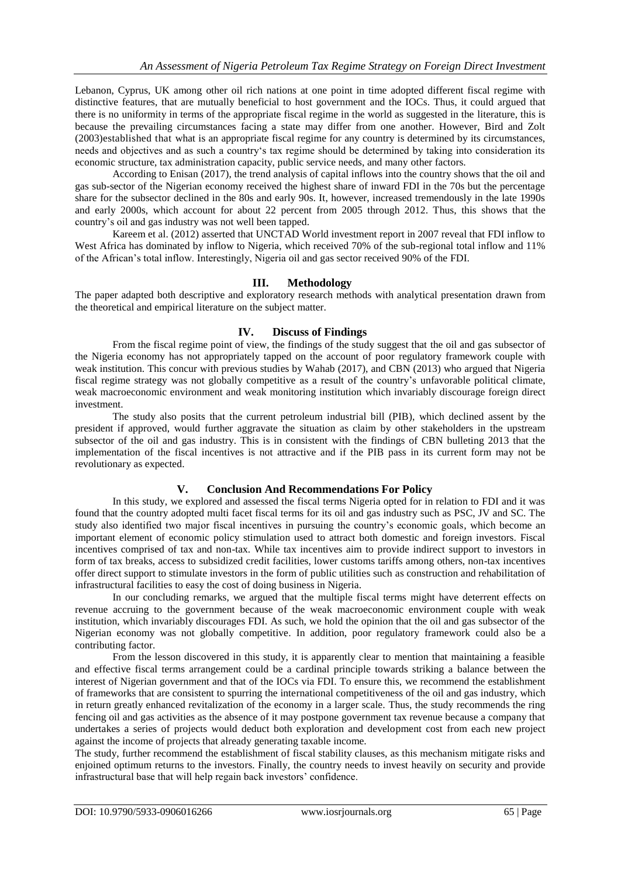Lebanon, Cyprus, UK among other oil rich nations at one point in time adopted different fiscal regime with distinctive features, that are mutually beneficial to host government and the IOCs. Thus, it could argued that there is no uniformity in terms of the appropriate fiscal regime in the world as suggested in the literature, this is because the prevailing circumstances facing a state may differ from one another. However, Bird and Zolt (2003)established that what is an appropriate fiscal regime for any country is determined by its circumstances, needs and objectives and as such a country's tax regime should be determined by taking into consideration its economic structure, tax administration capacity, public service needs, and many other factors.

According to Enisan (2017), the trend analysis of capital inflows into the country shows that the oil and gas sub-sector of the Nigerian economy received the highest share of inward FDI in the 70s but the percentage share for the subsector declined in the 80s and early 90s. It, however, increased tremendously in the late 1990s and early 2000s, which account for about 22 percent from 2005 through 2012. Thus, this shows that the country's oil and gas industry was not well been tapped.

Kareem et al. (2012) asserted that UNCTAD World investment report in 2007 reveal that FDI inflow to West Africa has dominated by inflow to Nigeria, which received 70% of the sub-regional total inflow and 11% of the African's total inflow. Interestingly, Nigeria oil and gas sector received 90% of the FDI.

# **III. Methodology**

The paper adapted both descriptive and exploratory research methods with analytical presentation drawn from the theoretical and empirical literature on the subject matter.

# **IV. Discuss of Findings**

From the fiscal regime point of view, the findings of the study suggest that the oil and gas subsector of the Nigeria economy has not appropriately tapped on the account of poor regulatory framework couple with weak institution. This concur with previous studies by Wahab (2017), and CBN (2013) who argued that Nigeria fiscal regime strategy was not globally competitive as a result of the country's unfavorable political climate, weak macroeconomic environment and weak monitoring institution which invariably discourage foreign direct investment.

The study also posits that the current petroleum industrial bill (PIB), which declined assent by the president if approved, would further aggravate the situation as claim by other stakeholders in the upstream subsector of the oil and gas industry. This is in consistent with the findings of CBN bulleting 2013 that the implementation of the fiscal incentives is not attractive and if the PIB pass in its current form may not be revolutionary as expected.

## **V. Conclusion And Recommendations For Policy**

In this study, we explored and assessed the fiscal terms Nigeria opted for in relation to FDI and it was found that the country adopted multi facet fiscal terms for its oil and gas industry such as PSC, JV and SC. The study also identified two major fiscal incentives in pursuing the country's economic goals, which become an important element of economic policy stimulation used to attract both domestic and foreign investors. Fiscal incentives comprised of tax and non-tax. While tax incentives aim to provide indirect support to investors in form of tax breaks, access to subsidized credit facilities, lower customs tariffs among others, non-tax incentives offer direct support to stimulate investors in the form of public utilities such as construction and rehabilitation of infrastructural facilities to easy the cost of doing business in Nigeria.

In our concluding remarks, we argued that the multiple fiscal terms might have deterrent effects on revenue accruing to the government because of the weak macroeconomic environment couple with weak institution, which invariably discourages FDI. As such, we hold the opinion that the oil and gas subsector of the Nigerian economy was not globally competitive. In addition, poor regulatory framework could also be a contributing factor.

From the lesson discovered in this study, it is apparently clear to mention that maintaining a feasible and effective fiscal terms arrangement could be a cardinal principle towards striking a balance between the interest of Nigerian government and that of the IOCs via FDI. To ensure this, we recommend the establishment of frameworks that are consistent to spurring the international competitiveness of the oil and gas industry, which in return greatly enhanced revitalization of the economy in a larger scale. Thus, the study recommends the ring fencing oil and gas activities as the absence of it may postpone government tax revenue because a company that undertakes a series of projects would deduct both exploration and development cost from each new project against the income of projects that already generating taxable income.

The study, further recommend the establishment of fiscal stability clauses, as this mechanism mitigate risks and enjoined optimum returns to the investors. Finally, the country needs to invest heavily on security and provide infrastructural base that will help regain back investors' confidence.